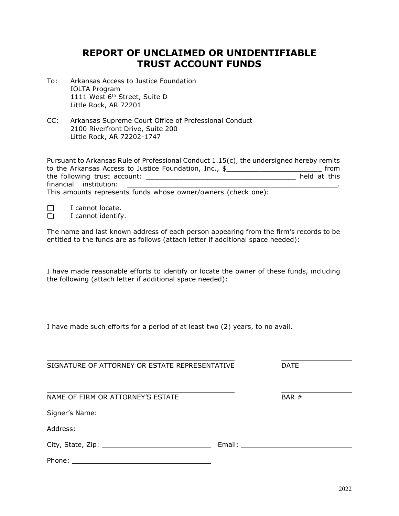## **REPORT OF UNCLAIMED OR UNIDENTIFIABLE TRUST ACCOUNT FUNDS**

- To: Arkansas Access to Justice Foundation IOLTA Program 1111 West 6<sup>th</sup> Street, Suite D Little Rock, AR 72201
- CC: Arkansas Supreme Court Office of Professional Conduct 2100 Riverfront Drive, Suite 200 Little Rock, AR 72202-1747

| Pursuant to Arkansas Rule of Professional Conduct 1.15(c), the undersigned hereby remits |              |      |
|------------------------------------------------------------------------------------------|--------------|------|
| to the Arkansas Access to Justice Foundation, Inc., $\frac{1}{2}$                        |              | from |
| the following trust account:                                                             | held at this |      |
| financial institution:                                                                   |              |      |
| This amounts represents funds whose owner/owners (check one):                            |              |      |

I cannot locate.

 $\Box$  I cannot identify.

The name and last known address of each person appearing from the firm's records to be entitled to the funds are as follows (attach letter if additional space needed):

I have made reasonable efforts to identify or locate the owner of these funds, including the following (attach letter if additional space needed):

I have made such efforts for a period of at least two (2) years, to no avail.

| SIGNATURE OF ATTORNEY OR ESTATE REPRESENTATIVE                                                                                                                                                                                 |  | <b>DATE</b> |  |
|--------------------------------------------------------------------------------------------------------------------------------------------------------------------------------------------------------------------------------|--|-------------|--|
| NAME OF FIRM OR ATTORNEY'S ESTATE                                                                                                                                                                                              |  | BAR #       |  |
| Signer's Name: Name: Name and Signer's Name: Name and Signer's Name: Name and Signer's Name and Signer and Signer and Signer and Signer and Signer and Signer and Signer and Signer and Signer and Signer and Signer and Signe |  |             |  |
|                                                                                                                                                                                                                                |  |             |  |
|                                                                                                                                                                                                                                |  |             |  |
|                                                                                                                                                                                                                                |  |             |  |